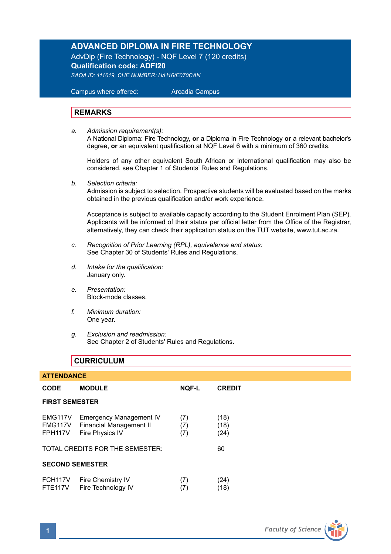## **ADVANCED DIPLOMA IN FIRE TECHNOLOGY**

AdvDip (Fire Technology) - NQF Level 7 (120 credits) **Qualification code: ADFI20** 

*SAQA ID: 111619, CHE NUMBER: H/H16/E070CAN* 

 Campus where offered: Arcadia Campus

#### **REMARKS**

*a. Admission requirement(s):*  A National Diploma: Fire Technology, **or** a Diploma in Fire Technology **or** a relevant bachelor's degree, **or** an equivalent qualification at NQF Level 6 with a minimum of 360 credits.

Holders of any other equivalent South African or international qualification may also be considered, see Chapter 1 of Students' Rules and Regulations.

*b. Selection criteria:*

Admission is subject to selection. Prospective students will be evaluated based on the marks obtained in the previous qualification and/or work experience.

Acceptance is subject to available capacity according to the Student Enrolment Plan (SEP). Applicants will be informed of their status per official letter from the Office of the Registrar, alternatively, they can check their application status on the TUT website, www.tut.ac.za.

- *c. Recognition of Prior Learning (RPL), equivalence and status:* See Chapter 30 of Students' Rules and Regulations.
- *d. Intake for the qualification:* January only.
- *e. Presentation:* Block-mode classes.
- *f. Minimum duration:* One year.
- *g. Exclusion and readmission:* See Chapter 2 of Students' Rules and Regulations.

#### **CURRICULUM**

| <b>ATTENDANCE</b>                     |                                                                              |                   |                      |  |
|---------------------------------------|------------------------------------------------------------------------------|-------------------|----------------------|--|
| <b>CODE</b>                           | <b>MODULE</b>                                                                | <b>NOF-L</b>      | <b>CREDIT</b>        |  |
| <b>FIRST SEMESTER</b>                 |                                                                              |                   |                      |  |
| EMG117V<br>FMG117V<br>FPH117V         | <b>Emergency Management IV</b><br>Financial Management II<br>Fire Physics IV | (7)<br>(7)<br>(7) | (18)<br>(18)<br>(24) |  |
| TOTAL CREDITS FOR THE SEMESTER:       |                                                                              |                   | 60                   |  |
| <b>SECOND SEMESTER</b>                |                                                                              |                   |                      |  |
| FCH <sub>117V</sub><br><b>FTE117V</b> | Fire Chemistry IV<br>Fire Technology IV                                      | (7)<br>(7)        | (24)<br>(18)         |  |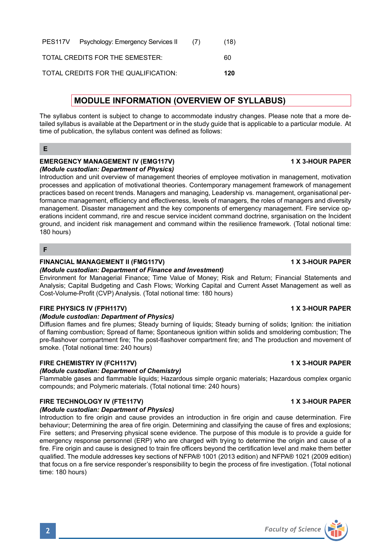|                                                                                                                                                                                                                                                                                                   | <b>MODULE INFORMATION (OVERVIEW OF SYLLABUS)</b> |  |
|---------------------------------------------------------------------------------------------------------------------------------------------------------------------------------------------------------------------------------------------------------------------------------------------------|--------------------------------------------------|--|
| The syllabus content is subject to change to accommodate industry changes. Please note that a more de-<br>tailed syllabus is available at the Department or in the study quide that is applicable to a particular module. At<br>time of publication, the syllabus content was defined as follows: |                                                  |  |
|                                                                                                                                                                                                                                                                                                   |                                                  |  |

PES117V Psychology: Emergency Services II (7) (18) TOTAL CREDITS FOR THE SEMESTER: 60 TOTAL CREDITS FOR THE QUALIFICATION: **120**

#### **EMERGENCY MANAGEMENT IV (EMG117V) 1 X 3-HOUR PAPER** *(Module custodian: Department of Physics)*

Introduction and unit overview of management theories of employee motivation in management, motivation processes and application of motivational theories. Contemporary management framework of management practices based on recent trends. Managers and managing, Leadership vs. management, organisational performance management, efficiency and effectiveness, levels of managers, the roles of managers and diversity management. Disaster management and the key components of emergency management. Fire service operations incident command, rire and rescue service incident command doctrine, srganisation on the Incident ground, and incident risk management and command within the resilience framework. (Total notional time: 180 hours)

### **F**

### **FINANCIAL MANAGEMENT II (FMG117V) 1 X 3-HOUR PAPER**

#### *(Module custodian: Department of Finance and Investment)*

Environment for Managerial Finance; Time Value of Money; Risk and Return; Financial Statements and Analysis; Capital Budgeting and Cash Flows; Working Capital and Current Asset Management as well as Cost-Volume-Profit (CVP) Analysis. (Total notional time: 180 hours)

#### **FIRE PHYSICS IV (FPH117V)** 1 X 3-HOUR PAPER

#### *(Module custodian: Department of Physics)*

Diffusion flames and fire plumes; Steady burning of liquids; Steady burning of solids; Ignition: the initiation of flaming combustion; Spread of flame; Spontaneous ignition within solids and smoldering combustion; The pre-flashover compartment fire; The post-flashover compartment fire; and The production and movement of smoke. (Total notional time: 240 hours)

#### **FIRE CHEMISTRY IV (FCH117V)** 1 X 3-HOUR PAPER

#### *(Module custodian: Department of Chemistry)*

Flammable gases and flammable liquids; Hazardous simple organic materials; Hazardous complex organic compounds; and Polymeric materials. (Total notional time: 240 hours)

### **FIRE TECHNOLOGY IV (FTE117V)** 1 X 3-HOUR PAPER

#### *(Module custodian: Department of Physics)*

Introduction to fire origin and cause provides an introduction in fire origin and cause determination. Fire behaviour; Determining the area of fire origin. Determining and classifying the cause of fires and explosions; Fire setters; and Preserving physical scene evidence. The purpose of this module is to provide a guide for emergency response personnel (ERP) who are charged with trying to determine the origin and cause of a fire. Fire origin and cause is designed to train fire officers beyond the certification level and make them better qualified. The module addresses key sections of NFPA® 1001 (2013 edition) and NFPA® 1021 (2009 edition) that focus on a fire service responder's responsibility to begin the process of fire investigation. (Total notional time: 180 hours)